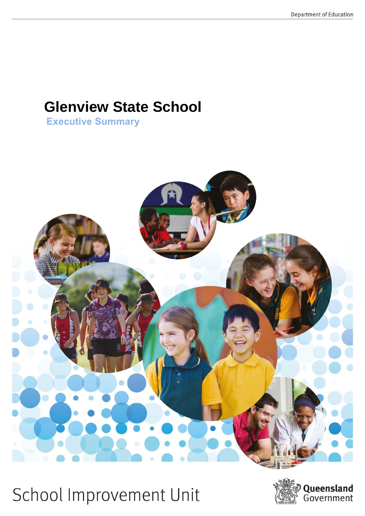# **Glenview State School<br>Executive Summary**



School Improvement Unit

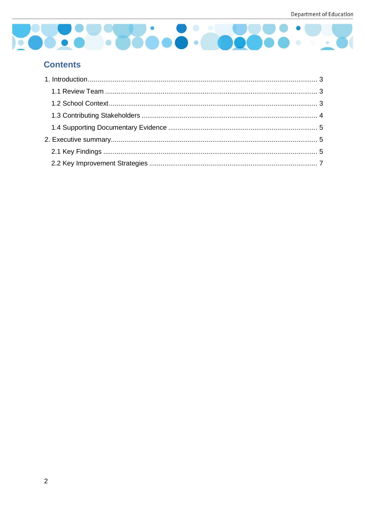

# **Contents**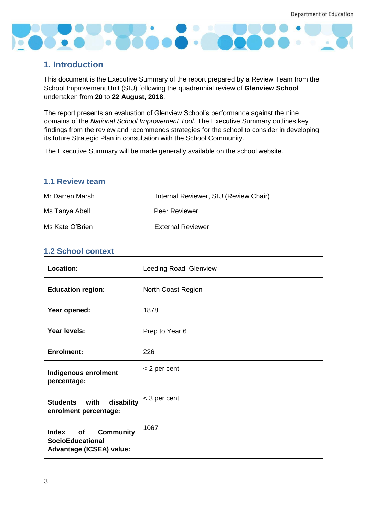

# <span id="page-2-0"></span>**1. Introduction**

This document is the Executive Summary of the report prepared by a Review Team from the School Improvement Unit (SIU) following the quadrennial review of **Glenview School** undertaken from **20** to **22 August, 2018**.

The report presents an evaluation of Glenview School's performance against the nine domains of the *National School Improvement Tool*. The Executive Summary outlines key findings from the review and recommends strategies for the school to consider in developing its future Strategic Plan in consultation with the School Community.

The Executive Summary will be made generally available on the school website.

# <span id="page-2-1"></span>**1.1 Review team**

| Mr Darren Marsh | Internal Reviewer, SIU (Review Chair) |
|-----------------|---------------------------------------|
| Ms Tanya Abell  | Peer Reviewer                         |
| Ms Kate O'Brien | <b>External Reviewer</b>              |

# <span id="page-2-2"></span>**1.2 School context**

| Location:                                                                                            | Leeding Road, Glenview |
|------------------------------------------------------------------------------------------------------|------------------------|
| <b>Education region:</b>                                                                             | North Coast Region     |
| Year opened:                                                                                         | 1878                   |
| Year levels:                                                                                         | Prep to Year 6         |
| <b>Enrolment:</b>                                                                                    | 226                    |
| Indigenous enrolment<br>percentage:                                                                  | < 2 per cent           |
| disability<br>Students with<br>enrolment percentage:                                                 | < 3 per cent           |
| <b>Community</b><br><b>Index</b><br>of<br><b>SocioEducational</b><br><b>Advantage (ICSEA) value:</b> | 1067                   |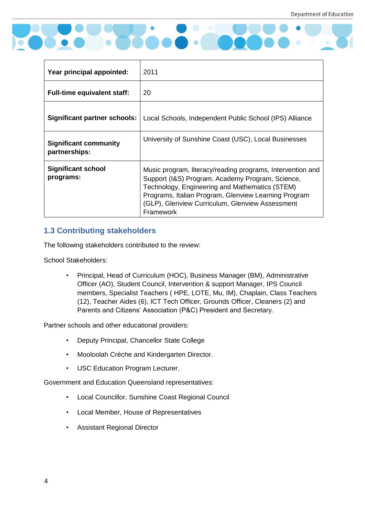

| Year principal appointed:                     | 2011                                                                                                                                                                                                                                                                                     |  |
|-----------------------------------------------|------------------------------------------------------------------------------------------------------------------------------------------------------------------------------------------------------------------------------------------------------------------------------------------|--|
| <b>Full-time equivalent staff:</b>            | 20                                                                                                                                                                                                                                                                                       |  |
| Significant partner schools:                  | Local Schools, Independent Public School (IPS) Alliance                                                                                                                                                                                                                                  |  |
| <b>Significant community</b><br>partnerships: | University of Sunshine Coast (USC), Local Businesses                                                                                                                                                                                                                                     |  |
| <b>Significant school</b><br>programs:        | Music program, literacy/reading programs, Intervention and<br>Support (I&S) Program, Academy Program, Science,<br>Technology, Engineering and Mathematics (STEM)<br>Programs, Italian Program, Glenview Learning Program<br>(GLP), Glenview Curriculum, Glenview Assessment<br>Framework |  |

# <span id="page-3-0"></span>**1.3 Contributing stakeholders**

The following stakeholders contributed to the review:

School Stakeholders:

• Principal, Head of Curriculum (HOC), Business Manager (BM), Administrative Officer (AO), Student Council, Intervention & support Manager, IPS Council members, Specialist Teachers ( HPE, LOTE, Mu, IM), Chaplain, Class Teachers (12), Teacher Aides (6), ICT Tech Officer, Grounds Officer, Cleaners (2) and Parents and Citizens' Association (P&C) President and Secretary.

Partner schools and other educational providers:

- Deputy Principal, Chancellor State College
- Mooloolah Crèche and Kindergarten Director.
- USC Education Program Lecturer.

Government and Education Queensland representatives:

- Local Councillor, Sunshine Coast Regional Council
- Local Member, House of Representatives
- Assistant Regional Director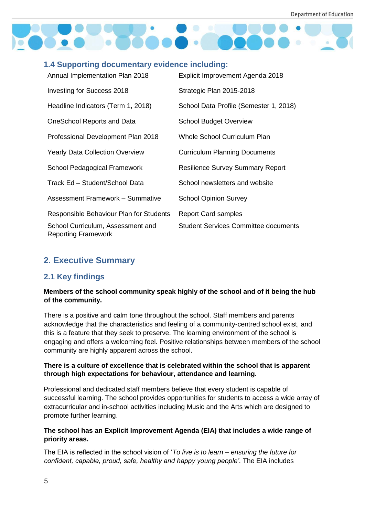

# <span id="page-4-0"></span>**1.4 Supporting documentary evidence including:**

| Annual Implementation Plan 2018                                 | Explicit Improvement Agenda 2018            |
|-----------------------------------------------------------------|---------------------------------------------|
| Investing for Success 2018                                      | Strategic Plan 2015-2018                    |
| Headline Indicators (Term 1, 2018)                              | School Data Profile (Semester 1, 2018)      |
| OneSchool Reports and Data                                      | <b>School Budget Overview</b>               |
| Professional Development Plan 2018                              | <b>Whole School Curriculum Plan</b>         |
| <b>Yearly Data Collection Overview</b>                          | <b>Curriculum Planning Documents</b>        |
| School Pedagogical Framework                                    | <b>Resilience Survey Summary Report</b>     |
| Track Ed - Student/School Data                                  | School newsletters and website              |
| <b>Assessment Framework - Summative</b>                         | <b>School Opinion Survey</b>                |
| Responsible Behaviour Plan for Students                         | <b>Report Card samples</b>                  |
| School Curriculum, Assessment and<br><b>Reporting Framework</b> | <b>Student Services Committee documents</b> |

# <span id="page-4-1"></span>**2. Executive Summary**

# <span id="page-4-2"></span>**2.1 Key findings**

## **Members of the school community speak highly of the school and of it being the hub of the community.**

There is a positive and calm tone throughout the school. Staff members and parents acknowledge that the characteristics and feeling of a community-centred school exist, and this is a feature that they seek to preserve. The learning environment of the school is engaging and offers a welcoming feel. Positive relationships between members of the school community are highly apparent across the school.

#### **There is a culture of excellence that is celebrated within the school that is apparent through high expectations for behaviour, attendance and learning.**

Professional and dedicated staff members believe that every student is capable of successful learning. The school provides opportunities for students to access a wide array of extracurricular and in-school activities including Music and the Arts which are designed to promote further learning.

## **The school has an Explicit Improvement Agenda (EIA) that includes a wide range of priority areas.**

The EIA is reflected in the school vision of '*To live is to learn – ensuring the future for confident, capable, proud, safe, healthy and happy young people'*. The EIA includes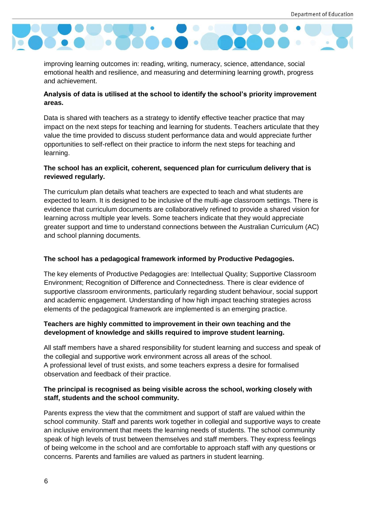

improving learning outcomes in: reading, writing, numeracy, science, attendance, social emotional health and resilience, and measuring and determining learning growth, progress and achievement.

## **Analysis of data is utilised at the school to identify the school's priority improvement areas.**

Data is shared with teachers as a strategy to identify effective teacher practice that may impact on the next steps for teaching and learning for students. Teachers articulate that they value the time provided to discuss student performance data and would appreciate further opportunities to self-reflect on their practice to inform the next steps for teaching and learning.

## **The school has an explicit, coherent, sequenced plan for curriculum delivery that is reviewed regularly.**

The curriculum plan details what teachers are expected to teach and what students are expected to learn. It is designed to be inclusive of the multi-age classroom settings. There is evidence that curriculum documents are collaboratively refined to provide a shared vision for learning across multiple year levels. Some teachers indicate that they would appreciate greater support and time to understand connections between the Australian Curriculum (AC) and school planning documents.

## **The school has a pedagogical framework informed by Productive Pedagogies.**

The key elements of Productive Pedagogies are: Intellectual Quality; Supportive Classroom Environment; Recognition of Difference and Connectedness. There is clear evidence of supportive classroom environments, particularly regarding student behaviour, social support and academic engagement. Understanding of how high impact teaching strategies across elements of the pedagogical framework are implemented is an emerging practice.

#### **Teachers are highly committed to improvement in their own teaching and the development of knowledge and skills required to improve student learning.**

All staff members have a shared responsibility for student learning and success and speak of the collegial and supportive work environment across all areas of the school. A professional level of trust exists, and some teachers express a desire for formalised observation and feedback of their practice.

# **The principal is recognised as being visible across the school, working closely with staff, students and the school community.**

Parents express the view that the commitment and support of staff are valued within the school community. Staff and parents work together in collegial and supportive ways to create an inclusive environment that meets the learning needs of students. The school community speak of high levels of trust between themselves and staff members. They express feelings of being welcome in the school and are comfortable to approach staff with any questions or concerns. Parents and families are valued as partners in student learning.